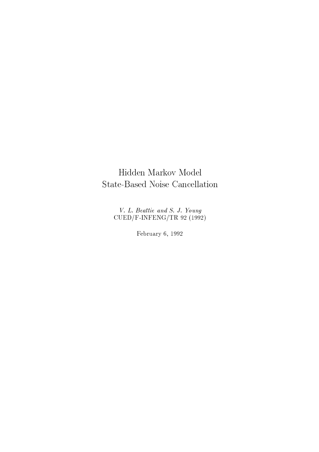# Hidden Markov Model State-Based Noise Cancellation

V. L. Beattie and S. J. Young<br>CUED/F-INFENG/TR 92 (1992)

February 6, 1992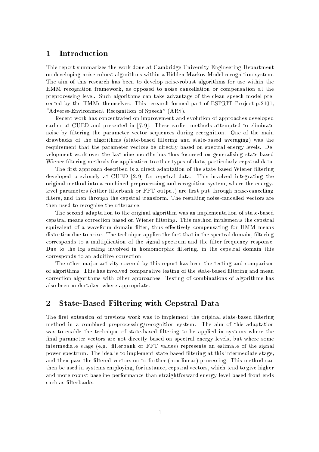# Introduction  $\mathbf 1$

This report summarizes the work done at Cambridge University Engineering Department on developing noise-robust algorithms within a Hidden Markov Model recognition system. The aim of this research has been to develop noise-robust algorithms for use within the HMM recognition framework, as opposed to noise cancellation or compensation at the preprocessing level. Such algorithms can take advantage of the clean speech model presented by the HMMs themselves. This research formed part of ESPRIT Project p.2101, "Adverse-Environment Recognition of Speech" (ARS).

Recent work has concentrated on improvement and evolution of approaches developed earlier at CUED and presented in [7,9]. These earlier methods attempted to eliminate noise by filtering the parameter vector sequences during recognition. One of the main drawbacks of the algorithms (state-based filtering and state-based averaging) was the requirement that the parameter vectors be directly based on spectral energy levels. Development work over the last nine months has thus focussed on generalising state-based Wiener filtering methods for application to other types of data, particularly cepstral data.

The first approach described is a direct adaptation of the state-based Wiener filtering developed previously at CUED [2,9] for cepstral data. This involved integrating the original method into a combined preprocessing and recognition system, where the energylevel parameters (either filterbank or FFT output) are first put through noise-cancelling filters, and then through the cepstral transform. The resulting noise-cancelled vectors are then used to recognise the utterance.

The second adaptation to the original algorithm was an implementation of state-based cepstral means correction based on Wiener filtering. This method implements the cepstral equivalent of a waveform domain filter, thus effectively compensating for HMM means distortion due to noise. The technique applies the fact that in the spectral domain, filtering corresponds to a multiplication of the signal spectrum and the filter frequency response. Due to the log scaling involved in homomorphic filtering, in the cepstral domain this corresponds to an additive correction.

The other major activity covered by this report has been the testing and comparison of algorithms. This has involved comparative testing of the state-based filtering and mean correction algorithms with other approaches. Testing of combinations of algorithms has also been undertaken where appropriate.

# $\overline{2}$ **State-Based Filtering with Cepstral Data**

The first extension of previous work was to implement the original state-based filtering method in a combined preprocessing/recognition system. The aim of this adaptation was to enable the technique of state-based filtering to be applied in systems where the final parameter vectors are not directly based on spectral energy levels, but where some intermediate stage (e.g. filterbank or FFT values) represents an estimate of the signal power spectrum. The idea is to implement state-based filtering at this intermediate stage, and then pass the filtered vectors on to further (non-linear) processing. This method can then be used in systems employing, for instance, cepstral vectors, which tend to give higher and more robust baseline performance than straightforward energy-level based front ends such as filterbanks.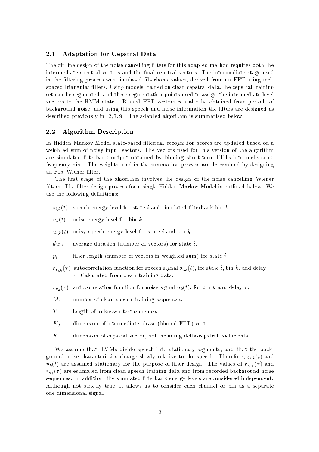#### $2.1$ **Adaptation for Cepstral Data**

The off-line design of the noise-cancelling filters for this adapted method requires both the intermediate spectral vectors and the final cepstral vectors. The intermediate stage used in the filtering process was simulated filterbank values, derived from an FFT using melspaced triangular filters. Using models trained on clean cepstral data, the cepstral training set can be segmented, and these segmentation points used to assign the intermediate level vectors to the HMM states. Binned FFT vectors can also be obtained from periods of background noise, and using this speech and noise information the filters are designed as described previously in  $[2,7,9]$ . The adapted algorithm is summarized below.

#### **Algorithm Description** 2.2

In Hidden Markov Model state-based filtering, recognition scores are updated based on a weighted sum of noisy input vectors. The vectors used for this version of the algorithm are simulated filterbank output obtained by binning short-term FFTs into mel-spaced frequency bins. The weights used in the summation process are determined by designing an FIR Wiener filter.

The first stage of the algorithm involves the design of the noise cancelling Wiener filters. The filter design process for a single Hidden Markov Model is outlined below. We use the following definitions:

- speech energy level for state  $i$  and simulated filterbank bin  $k$ .  $s_{i,k}(t)$
- $n_k(t)$ noise energy level for bin  $k$ .
- noisy speech energy level for state i and bin  $k$ .  $u_{i,k}(t)$
- average duration (number of vectors) for state  $i$ .  $dur_i$
- filter length (number of vectors in weighted sum) for state  $i$ .  $p_i$

 $r_{s_{i,k}}(\tau)$  autocorrelation function for speech signal  $s_{i,k}(t)$ , for state i, bin k, and delay  $\tau$ . Calculated from clean training data.

- $r_{n_k}(\tau)$ autocorrelation function for noise signal  $n_k(t)$ , for bin k and delay  $\tau$ .
- $M_{s}$ number of clean speech training sequences.
- $T$ length of unknown test sequence.
- $K_f$ dimension of intermediate phase (binned FFT) vector.
- $K_c$ dimension of cepstral vector, not including delta-cepstral coefficients.

We assume that HMMs divide speech into stationary segments, and that the background noise characteristics change slowly relative to the speech. Therefore,  $s_{i,k}(t)$  and  $n_k(t)$  are assumed stationary for the purpose of filter design. The values of  $r_{s_{i,k}}(\tau)$  and  $r_{n_k}(\tau)$  are estimated from clean speech training data and from recorded background noise sequences. In addition, the simulated filterbank energy levels are considered independent. Although not strictly true, it allows us to consider each channel or bin as a separate one-dimensional signal.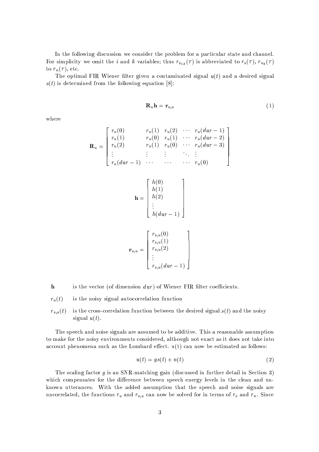In the following discussion we consider the problem for a particular state and channel. For simplicity we omit the *i* and *k* variables; thus  $r_{s_{i,k}}(\tau)$  is abbreviated to  $r_s(\tau)$ ,  $r_{n_k}(\tau)$ to  $r_n(\tau)$ , etc.

The optimal FIR Wiener filter given a contaminated signal  $u(t)$  and a desired signal  $s(t)$  is determined from the following equation [8]:

$$
\mathbf{R}_u \mathbf{h} = \mathbf{r}_{s,u} \tag{1}
$$

where

$$
\mathbf{R}_{u} = \begin{bmatrix} r_{u}(0) & r_{u}(1) & r_{u}(2) & \cdots & r_{u}(dur - 1) \\ r_{u}(1) & r_{u}(0) & r_{u}(1) & \cdots & r_{u}(dur - 2) \\ r_{u}(2) & r_{u}(1) & r_{u}(0) & \cdots & r_{u}(dur - 3) \\ \vdots & \vdots & \vdots & \ddots & \vdots \\ r_{u}(dur - 1) & \cdots & \cdots & \cdots & r_{u}(0) \end{bmatrix}
$$

$$
\mathbf{h} = \begin{bmatrix} h(0) \\ h(1) \\ h(2) \\ \vdots \\ h(dur - 1) \end{bmatrix}
$$

$$
\mathbf{r}_{s,u} = \begin{bmatrix} r_{s,u}(0) \\ r_{s,u}(1) \\ r_{s,u}(2) \\ \vdots \\ r_{s,u}(dur-1) \end{bmatrix}
$$

 $\mathbf{h}$ is the vector (of dimension  $dur$ ) of Wiener FIR filter coefficients.

 $r_u(t)$ is the noisy signal autocorrelation function

is the cross-correlation function between the desired signal  $s(t)$  and the noisy  $r_{s,u}(t)$ signal  $u(t)$ .

The speech and noise signals are assumed to be additive. This a reasonable assumption to make for the noisy environments considered, although not exact as it does not take into account phenomena such as the Lombard effect.  $u(t)$  can now be estimated as follows:

$$
u(t) = gs(t) + n(t) \tag{2}
$$

The scaling factor  $q$  is an SNR-matching gain (discussed in further detail in Section 3) which compensates for the difference between speech energy levels in the clean and unknown utterances. With the added assumption that the speech and noise signals are uncorrelated, the functions  $r_u$  and  $r_{s,u}$  can now be solved for in terms of  $r_s$  and  $r_n$ . Since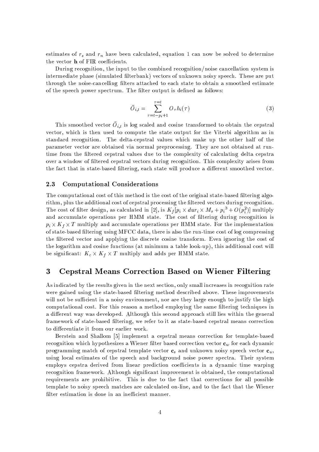estimates of  $r_s$  and  $r_n$  have been calculated, equation 1 can now be solved to determine the vector **h** of FIR coefficients.

During recognition, the input to the combined recognition/noise cancellation system is intermediate phase (simulated filterbank) vectors of unknown noisy speech. These are put through the noise-cancelling filters attached to each state to obtain a smoothed estimate of the speech power spectrum. The filter output is defined as follows:

$$
\bar{O}_{i,t} = \sum_{\tau=t-p_i+1}^{\tau=t} O_{\tau} h_i(\tau) \tag{3}
$$

This smoothed vector  $O_{i,t}$  is log scaled and cosine transformed to obtain the cepstral vector, which is then used to compute the state output for the Viterbi algorithm as in standard recognition. The delta-cepstral values which make up the other half of the parameter vector are obtained via normal preprocessing. They are not obtained at runtime from the filtered cepstral values due to the complexity of calculating delta cepstra over a window of filtered cepstral vectors during recognition. This complexity arises from the fact that in state-based filtering, each state will produce a different smoothed vector.

#### **Computational Considerations** 2.3

The computational cost of this method is the cost of the original state-based filtering algorithm, plus the additional cost of cepstral processing the filtered vectors during recognition. The cost of filter design, as calculated in [2], is  $K_f[p_i \times dur_i \times M_s + p_i^3 + O(p_i^2)]$  multiply and accumulate operations per HMM state. The cost of filtering during recognition is  $p_i \times K_f \times T$  multiply and accumulate operations per HMM state. For the implementation of state-based filtering using MFCC data, there is also the run-time cost of log compressing the filtered vector and applying the discrete cosine transform. Even ignoring the cost of the logarithm and cosine functions (at minimum a table look-up), this additional cost will be significant:  $K_c \times K_f \times T$  multiply and adds per HMM state.

# **Cepstral Means Correction Based on Wiener Filtering** 3

As indicated by the results given in the next section, only small increases in recognition rate were gained using the state-based filtering method described above. These improvements will not be sufficient in a noisy environment, nor are they large enough to justify the high computational cost. For this reason a method employing the same filtering techniques in a different way was developed. Although this second approach still lies within the general framework of state-based filtering, we refer to it as state-based cepstral means correction to differentiate it from our earlier work.

Berstein and Shallom [5] implement a cepstral means correction for template-based recognition which hypothesizes a Wiener filter based correction vector  $\mathbf{c}_w$  for each dynamic programming match of cepstral template vector  $\mathbf{c}_s$  and unknown noisy speech vector  $\mathbf{c}_u$ , using local estimates of the speech and background noise power spectra. Their system employs cepstra derived from linear prediction coefficients in a dynamic time warping recognition framework. Although significant improvement is obtained, the computational requirements are prohibitive. This is due to the fact that corrections for all possible template to noisy speech matches are calculated on-line, and to the fact that the Wiener filter estimation is done in an inefficient manner.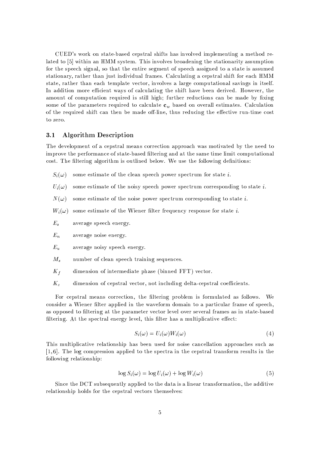CUED's work on state-based cepstral shifts has involved implementing a method related to [5] within an HMM system. This involves broadening the stationarity assumption for the speech signal, so that the entire segment of speech assigned to a state is assumed stationary, rather than just individual frames. Calculating a cepstral shift for each HMM state, rather than each template vector, involves a large computational savings in itself. In addition more efficient ways of calculating the shift have been derived. However, the amount of computation required is still high; further reductions can be made by fixing some of the parameters required to calculate  $\mathbf{c}_w$  based on overall estimates. Calculation of the required shift can then be made off-line, thus reducing the effective run-time cost to zero.

#### **Algorithm Description**  $3.1$

The development of a cepstral means correction approach was motivated by the need to improve the performance of state-based filtering and at the same time limit computational cost. The filtering algorithm is outlined below. We use the following definitions:

- $S_i(\omega)$ some estimate of the clean speech power spectrum for state  $i$ .
- $U_i(\omega)$ some estimate of the noisy speech power spectrum corresponding to state  $i$ .
- $N(\omega)$ some estimate of the noise power spectrum corresponding to state  $i$ .
- $W_i(\omega)$ some estimate of the Wiener filter frequency response for state i.
- $E_s$ average speech energy.
- $E_n$ average noise energy.
- $E_u$ average noisy speech energy.
- $M_{s}$ number of clean speech training sequences.
- $K_f$ dimension of intermediate phase (binned FFT) vector.
- $K_c$ dimension of cepstral vector, not including delta-cepstral coefficients.

For cepstral means correction, the filtering problem is formulated as follows. We consider a Wiener filter applied in the waveform domain to a particular frame of speech, as opposed to filtering at the parameter vector level over several frames as in state-based filtering. At the spectral energy level, this filter has a multiplicative effect:

$$
S_i(\omega) = U_i(\omega)W_i(\omega) \tag{4}
$$

This multiplicative relationship has been used for noise cancellation approaches such as  $[1,6]$ . The log compression applied to the spectra in the cepstral transform results in the following relationship:

$$
\log S_i(\omega) = \log U_i(\omega) + \log W_i(\omega) \tag{5}
$$

Since the DCT subsequently applied to the data is a linear transformation, the additive relationship holds for the cepstral vectors themselves: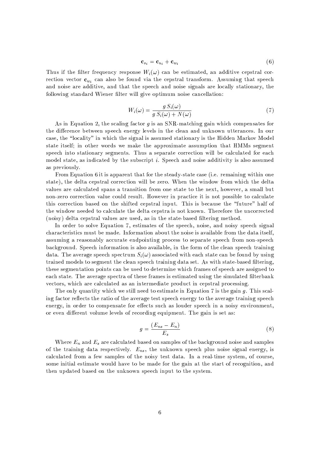$$
\mathbf{c}_{s_i} = \mathbf{c}_{u_i} + \mathbf{c}_{w_i} \tag{6}
$$

Thus if the filter frequency response  $W_i(\omega)$  can be estimated, an additive cepstral correction vector  $\mathbf{c}_m$  can also be found via the cepstral transform. Assuming that speech and noise are additive, and that the speech and noise signals are locally stationary, the following standard Wiener filter will give optimum noise cancellation:

$$
W_i(\omega) = \frac{g S_i(\omega)}{g S_i(\omega) + N(\omega)}\tag{7}
$$

As in Equation 2, the scaling factor  $g$  is an SNR-matching gain which compensates for the difference between speech energy levels in the clean and unknown utterances. In our case, the "locality" in which the signal is assumed stationary is the Hidden Markov Model state itself; in other words we make the approximate assumption that HMMs segment speech into stationary segments. Thus a separate correction will be calculated for each model state, as indicated by the subscript i. Speech and noise additivity is also assumed as previously.

From Equation 6 it is apparent that for the steady-state case (i.e. remaining within one state), the delta cepstral correction will be zero. When the window from which the delta values are calculated spans a transition from one state to the next, however, a small but non-zero correction value could result. However in practice it is not possible to calculate this correction based on the shifted cepstral input. This is because the "future" half of the window needed to calculate the delta cepstra is not known. Therefore the uncorrected (noisy) delta cepstral values are used, as in the state-based filtering method.

In order to solve Equation 7, estimates of the speech, noise, and noisy speech signal characteristics must be made. Information about the noise is available from the data itself, assuming a reasonably accurate endpointing process to separate speech from non-speech background. Speech information is also available, in the form of the clean speech training data. The average speech spectrum  $S_i(\omega)$  associated with each state can be found by using trained models to segment the clean speech training data set. As with state-based filtering, these segmentation points can be used to determine which frames of speech are assigned to each state. The average spectra of these frames is estimated using the simulated filterbank vectors, which are calculated as an intermediate product in cepstral processing.

The only quantity which we still need to estimate in Equation 7 is the gain  $g$ . This scaling factor reflects the ratio of the average test speech energy to the average training speech energy, in order to compensate for effects such as louder speech in a noisy environment, or even different volume levels of recording equipment. The gain is set as:

$$
g = \frac{(E_{ns} - E_n)}{E_s} \tag{8}
$$

Where  $E_n$  and  $E_s$  are calculated based on samples of the background noise and samples of the training data respectively.  $E_{ns}$ , the unknown speech plus noise signal energy, is calculated from a few samples of the noisy test data. In a real-time system, of course, some initial estimate would have to be made for the gain at the start of recognition, and then updated based on the unknown speech input to the system.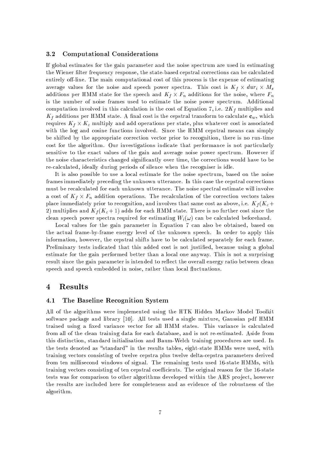#### $3.2$ **Computational Considerations**

If global estimates for the gain parameter and the noise spectrum are used in estimating the Wiener filter frequency response, the state-based cepstral corrections can be calculated entirely off-line. The main computational cost of this process is the expense of estimating average values for the noise and speech power spectra. This cost is  $K_f \times dur_i \times M_s$ additions per HMM state for the speech and  $K_f \times F_n$  additions for the noise, where  $F_n$ is the number of noise frames used to estimate the noise power spectrum. Additional computation involved in this calculation is the cost of Equation 7, i.e.  $2K_f$  multiplies and  $K_f$  additions per HMM state. A final cost is the cepstral transform to calculate  $\mathbf{c}_w$ , which requires  $K_f \times K_c$  multiply and add operations per state, plus whatever cost is associated with the log and cosine functions involved. Since the HMM cepstral means can simply be shifted by the appropriate correction vector prior to recognition, there is no run-time cost for the algorithm. Our investigations indicate that performance is not particularly sensitive to the exact values of the gain and average noise power spectrum. However if the noise characteristics changed significantly over time, the corrections would have to be re-calculated, ideally during periods of silence when the recogniser is idle.

It is also possible to use a local estimate for the noise spectrum, based on the noise frames immediately preceding the unknown utterance. In this case the cepstral corrections must be recalculated for each unknown utterance. The noise spectral estimate will involve a cost of  $K_f \times F_n$  addition operations. The recalculation of the correction vectors takes place immediately prior to recognition, and involves that same cost as above, i.e.  $K_f(K_c+)$ 2) multiplies and  $K_f(K_c+1)$  adds for each HMM state. There is no further cost since the clean speech power spectra required for estimating  $W_i(\omega)$  can be calculated beforehand.

Local values for the gain parameter in Equation 7 can also be obtained, based on the actual frame-by-frame energy level of the unknown speech. In order to apply this information, however, the cepstral shifts have to be calculated separately for each frame. Preliminary tests indicated that this added cost is not justified, because using a global estimate for the gain performed better than a local one anyway. This is not a surprising result since the gain parameter is intended to reflect the overall energy ratio between clean speech and speech embedded in noise, rather than local fluctuations.

# **Results**  $\overline{4}$

#### The Baseline Recognition System  $4.1$

All of the algorithms were implemented using the HTK Hidden Markov Model Toolkit software package and library [10]. All tests used a single mixture, Gaussian pdf HMM trained using a fixed variance vector for all HMM states. This variance is calculated from all of the clean training data for each database, and is not re-estimated. Aside from this distinction, standard initialisation and Baum-Welch training procedures are used. In the tests denoted as "standard" in the results tables, eight-state HMMs were used, with training vectors consisting of twelve cepstra plus twelve delta-cepstra parameters derived from ten millisecond windows of signal. The remaining tests used 16-state HMMs, with training vectors consisting of ten cepstral coefficients. The original reason for the 16-state tests was for comparison to other algorithms developed within the ARS project, however the results are included here for completeness and as evidence of the robustness of the algorithm.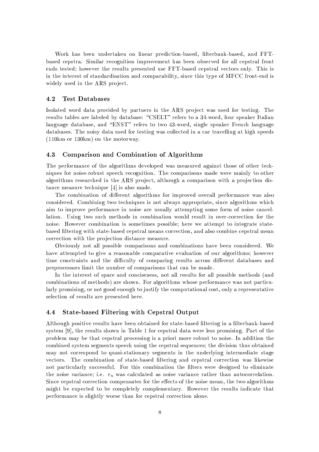Work has been undertaken on linear prediction-based, filterbank-based, and FFTbased cepstra. Similar recognition improvement has been observed for all cepstral front ends tested; however the results presented use FFT-based cepstral vectors only. This is in the interest of standardisation and comparability, since this type of MFCC front-end is widely used in the ARS project.

#### 4.2 **Test Databases**

Isolated word data provided by partners in the ARS project was used for testing. The results tables are labeled by database: "CSELT" refers to a 34-word, four speaker Italian language database, and "ENST" refers to two 43-word, single speaker French language databases. The noisy data used for testing was collected in a car travelling at high speeds  $(110km \text{ or } 130km)$  on the motorway.

#### 4.3 Comparison and Combination of Algorithms

The performance of the algorithms developed was measured against those of other techniques for noise-robust speech recognition. The comparisons made were mainly to other algorithms researched in the ARS project, although a comparison with a projection distance measure technique  $[4]$  is also made.

The combination of different algorithms for improved overall performance was also considered. Combining two techniques is not always appropriate, since algorithms which aim to improve performance in noise are usually attempting some form of noise cancellation. Using two such methods in combination would result in over-correction for the noise. However combination is sometimes possible; here we attempt to integrate statebased filtering with state-based cepstral means correction, and also combine cepstral mean correction with the projection distance measure.

Obviously not all possible comparisons and combinations have been considered. We have attempted to give a reasonable comparative evaluation of our algorithms; however time constraints and the difficulty of comparing results across different databases and preprocessors limit the number of comparisons that can be made.

In the interest of space and conciseness, not all results for all possible methods (and combinations of methods) are shown. For algorithms whose performance was not particularly promising, or not good enough to justify the computational cost, only a representative selection of results are presented here.

#### **State-based Filtering with Cepstral Output** 4.4

Although positive results have been obtained for state-based filtering in a filterbank-based system [9], the results shown in Table 1 for cepstral data were less promising. Part of the problem may be that cepstral processing is a priori more robust to noise. In addition the combined system segments speech using the cepstral sequences; the division thus obtained may not correspond to quasi-stationary segments in the underlying intermediate stage vectors. The combination of state-based filtering and cepstral correction was likewise not particularly successful. For this combination the filters were designed to eliminate the noise variance; i.e.  $r_n$  was calculated as noise variance rather than autocorrelation. Since cepstral correction compensates for the effects of the noise mean, the two algorithms might be expected to be completely complementary. However the results indicate that performance is slightly worse than for cepstral correction alone.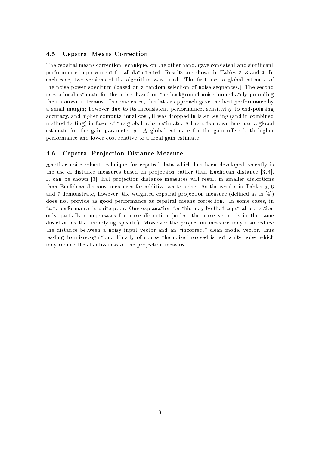#### $4.5$ **Cepstral Means Correction**

The cepstral means correction technique, on the other hand, gave consistent and significant performance improvement for all data tested. Results are shown in Tables 2, 3 and 4. In each case, two versions of the algorithm were used. The first uses a global estimate of the noise power spectrum (based on a random selection of noise sequences.) The second uses a local estimate for the noise, based on the background noise immediately preceding the unknown utterance. In some cases, this latter approach gave the best performance by a small margin; however due to its inconsistent performance, sensitivity to end-pointing accuracy, and higher computational cost, it was dropped in later testing (and in combined method testing) in favor of the global noise estimate. All results shown here use a global estimate for the gain parameter  $g$ . A global estimate for the gain offers both higher performance and lower cost relative to a local gain estimate.

#### **Cepstral Projection Distance Measure** 4.6

Another noise-robust technique for cepstral data which has been developed recently is the use of distance measures based on projection rather than Euclidean distance  $[3,4]$ . It can be shown [3] that projection distance measures will result in smaller distortions than Euclidean distance measures for additive white noise. As the results in Tables 5, 6 and 7 demonstrate, however, the weighted cepstral projection measure (defined as in  $[4]$ ) does not provide as good performance as cepstral means correction. In some cases, in fact, performance is quite poor. One explanation for this may be that cepstral projection only partially compensates for noise distortion (unless the noise vector is in the same direction as the underlying speech.) Moreover the projection measure may also reduce the distance between a noisy input vector and an "incorrect" clean model vector, thus leading to misrecognition. Finally of course the noise involved is not white noise which may reduce the effectiveness of the projection measure.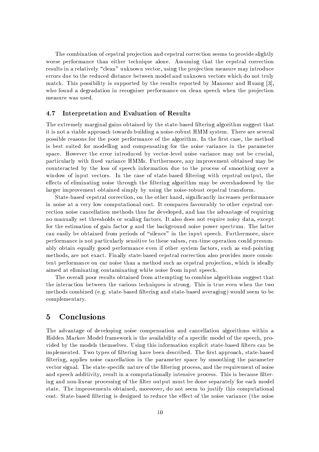The combination of cepstral projection and cepstral correction seems to provide slightly worse performance than either technique alone. Assuming that the cepstral correction results in a relatively "clean" unknown vector, using the projection measure may introduce errors due to the reduced distance between model and unknown vectors which do not truly match. This possibility is supported by the results reported by Mansour and Huang [3], who found a degradation in recogniser performance on clean speech when the projection measure was used.

#### Interpretation and Evaluation of Results  $4.7$

The extremely marginal gains obtained by the state-based filtering algorithm suggest that it is not a viable approach towards building a noise-robust HMM system. There are several possible reasons for the poor performance of the algorithm. In the first case, the method is best suited for modelling and compensating for the noise variance in the parameter space. However the error introduced by vector-level noise variance may not be crucial, particularly with fixed variance HMMs. Furthermore, any improvement obtained may be counteracted by the loss of speech information due to the process of smoothing over a window of input vectors. In the case of state-based filtering with cepstral output, the effects of eliminating noise through the filtering algorithm may be overshadowed by the larger improvement obtained simply by using the noise-robust cepstral transform.

State-based cepstral correction, on the other hand, significantly increases performance in noise at a very low computational cost. It compares favourably to other cepstral correction noise cancellation methods thus far developed, and has the advantage of requiring no manually set thresholds or scaling factors. It also does not require noisy data, except for the estimation of gain factor  $q$  and the background noise power spectrum. The latter can easily be obtained from periods of "silence" in the input speech. Furthermore, since performance is not particularly sensitive to these values, run-time operation could presumably obtain equally good performance even if other system factors, such as end-pointing methods, are not exact. Finally state-based cepstral correction also provides more consistent performance on car noise than a method such as cepstral projection, which is ideally aimed at eliminating contaminating white noise from input speech.

The overall poor results obtained from attempting to combine algorithms suggest that the interaction between the various techniques is strong. This is true even when the two methods combined (e.g. state-based filtering and state-based averaging) would seem to be complementary.

# Conclusions  $\bf{5}$

The advantage of developing noise compensation and cancellation algorithms within a Hidden Markov Model framework is the availability of a specific model of the speech, provided by the models themselves. Using this information explicit state-based filters can be implemented. Two types of filtering have been described. The first approach, state-based filtering, applies noise cancellation in the parameter space by smoothing the parameter vector signal. The state-specific nature of the filtering process, and the requirement of noise and speech additivity, result in a computationally intensive process. This is because filtering and non-linear processing of the filter output must be done separately for each model state. The improvements obtained, moreover, do not seem to justify this computational cost. State-based filtering is designed to reduce the effect of the noise variance (the noise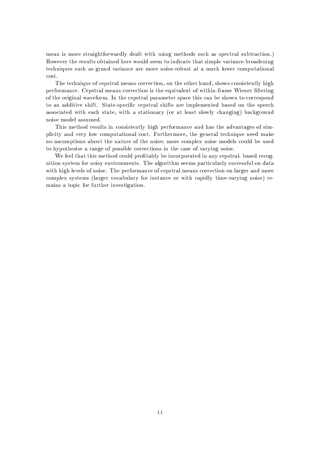mean is more straightforwardly dealt with using methods such as spectral subtraction.) However the results obtained here would seem to indicate that simple variance-broadening techniques such as grand variance are more noise-robust at a much lower computational cost.

The technique of cepstral means correction, on the other hand, shows consistently high performance. Cepstral means correction is the equivalent of within-frame Wiener filtering of the original waveform. In the cepstral parameter space this can be shown to correspond to an additive shift. State-specific cepstral shifts are implemented based on the speech associated with each state, with a stationary (or at least slowly changing) background noise model assumed.

This method results in consistently high performance and has the advantages of simplicity and very low computational cost. Furthermore, the general technique need make no assumptions about the nature of the noise; more complex noise models could be used to hypothesise a range of possible corrections in the case of varying noise.

We feel that this method could profitably be incorporated in any cepstral-based recognition system for noisy environments. The algorithm seems particularly successful on data with high levels of noise. The performance of cepstral means correction on larger and more complex systems (larger vocabulary for instance or with rapidly time-varying noise) remains a topic for further investigation.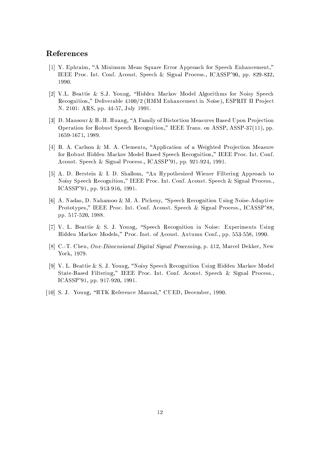# References

- [1] Y. Ephraim, "A Minimum Mean Square Error Approach for Speech Enhancement," IEEE Proc. Int. Conf. Acoust. Speech & Signal Process., ICASSP'90, pp. 829-832, 1990.
- [2] V.L. Beattie & S.J. Young, "Hidden Markov Model Algorithms for Noisy Speech Recognition," Deliverable 4100/2 (HMM Enhancement in Noise), ESPRIT II Project N. 2101: ARS, pp. 44-57, July 1991.
- [3] D. Mansour & B.-H. Huang, "A Family of Distortion Measures Based Upon Projection Operation for Robust Speech Recognition," IEEE Trans. on ASSP, ASSP-37(11), pp. 1659-1671, 1989.
- [4] B. A. Carlson & M. A. Clements, "Application of a Weighted Projection Measure for Robust Hidden Markov Model Based Speech Recognition," IEEE Proc. Int. Conf. Acoust. Speech & Signal Process., ICASSP'91, pp. 921-924, 1991.
- [5] A. D. Berstein & I. D. Shallom, "An Hypothesized Wiener Filtering Approach to Noisy Speech Recognition," IEEE Proc. Int. Conf. Acoust. Speech & Signal Process., ICASSP'91, pp. 913-916, 1991.
- [6] A. Nadas, D. Nahamoo & M. A. Picheny, "Speech Recognition Using Noise-Adaptive Prototypes," IEEE Proc. Int. Conf. Acoust. Speech & Signal Process., ICASSP'88, pp. 517-520, 1988.
- [7] V. L. Beattie & S. J. Young, "Speech Recognition in Noise: Experiments Using Hidden Markov Models," Proc. Inst. of Acoust. Autumn Conf., pp. 553-558, 1990.
- [8] C.-T. Chen, *One-Dimensional Digital Signal Processing*, p. 412, Marcel Dekker, New York, 1979.
- [9] V. L. Beattie & S. J. Young, "Noisy Speech Recognition Using Hidden Markov Model State-Based Filtering," IEEE Proc. Int. Conf. Acoust. Speech & Signal Process., ICASSP'91, pp. 917-920, 1991.
- [10] S. J. Young, "HTK Reference Manual," CUED, December, 1990.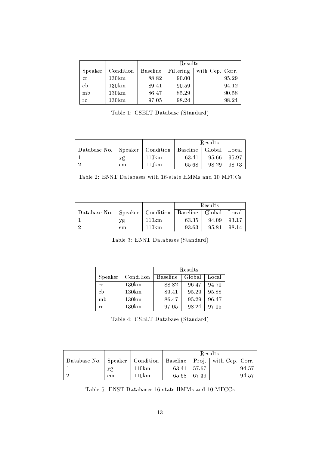|         |           | Results         |           |                 |  |
|---------|-----------|-----------------|-----------|-----------------|--|
| Speaker | Condition | <b>Baseline</b> | Filtering | with Cep. Corr. |  |
| CT.     | 130km     | 88.82           | 90.00     | 95.29           |  |
| eb      | 130km     | 89.41           | 90.59     | 94.12           |  |
| mb      | 130km     | 86.47           | 85.29     | 90.58           |  |
| rс      | 130km     | 97.05           | 98.24     | 98.24           |  |

Table 1: CSELT Database (Standard)

|                                                                |    |       | Results |         |       |
|----------------------------------------------------------------|----|-------|---------|---------|-------|
| Database No.   Speaker   Condition   Baseline   Global   Local |    |       |         |         |       |
|                                                                | уg | 110km | 63.41   | $95.66$ | 95.97 |
|                                                                | em | 110km | 65.68   | 98.29   | 98.13 |

Table 2: ENST Databases with 16-state HMMs and 10 MFCCs

|              |    |                                | Results |        |       |
|--------------|----|--------------------------------|---------|--------|-------|
| Database No. |    | Speaker   Condition   Baseline |         | Global | Local |
|              | уg | 110km                          | 63.35   | 94.09  | 93.17 |
|              | em | 110km                          | 93.63   | 95.81  | 98.14 |

Table 3: ENST Databases (Standard)

|         |                   | Results         |        |       |  |
|---------|-------------------|-----------------|--------|-------|--|
| Speaker | Condition         | <b>Baseline</b> | Global | Local |  |
| cr      | $130 \mathrm{km}$ | 88.82           | 96.47  | 94.70 |  |
| eb      | 130km             | 89.41           | 95.29  | 95.88 |  |
| mb      | 130km             | 86.47           | 95.29  | 96.47 |  |
| гc      | 130km             | 97.05           | 98.24  | 97.05 |  |

Table 4: CSELT Database (Standard)

|    |       | Results         |  |                                                                         |
|----|-------|-----------------|--|-------------------------------------------------------------------------|
|    |       |                 |  | Database No.   Speaker   Condition   Baseline   Proj.   with Cep. Corr. |
| уg | 110km | $63.41$   57.67 |  | 94.57                                                                   |
| em | 110km | $65.68$   67.39 |  | 94.57                                                                   |

Table 5: ENST Databases 16-state HMMs and 10 MFCCs